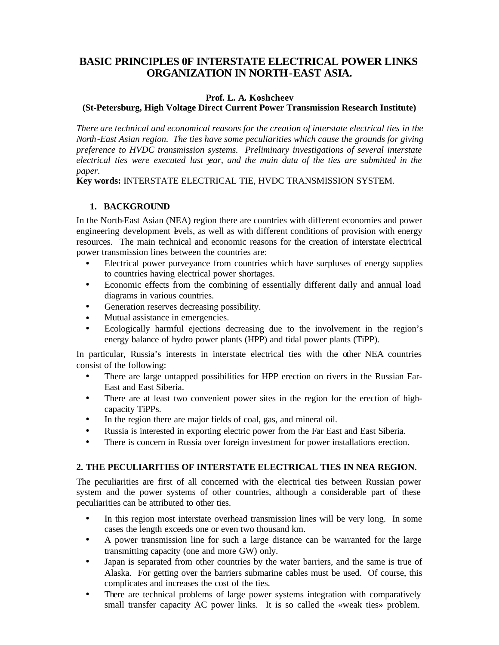# **BASIC PRINCIPLES 0F INTERSTATE ELECTRICAL POWER LINKS ORGANIZATION IN NORTH-EAST ASIA.**

### **Prof. L. A. Koshcheev**

### **(St-Petersburg, High Voltage Direct Current Power Transmission Research Institute)**

*There are technical and economical reasons for the creation of interstate electrical ties in the North-East Asian region. The ties have some peculiarities which cause the grounds for giving preference to HVDC transmission systems. Preliminary investigations of several interstate electrical ties were executed last year, and the main data of the ties are submitted in the paper.*

**Key words:** INTERSTATE ELECTRICAL TIE, HVDC TRANSMISSION SYSTEM.

# **1. BACKGROUND**

In the North-East Asian (NEA) region there are countries with different economies and power engineering development levels, as well as with different conditions of provision with energy resources. The main technical and economic reasons for the creation of interstate electrical power transmission lines between the countries are:

- Electrical power purveyance from countries which have surpluses of energy supplies to countries having electrical power shortages.
- Economic effects from the combining of essentially different daily and annual load diagrams in various countries.
- Generation reserves decreasing possibility.
- Mutual assistance in emergencies.
- Ecologically harmful ejections decreasing due to the involvement in the region's energy balance of hydro power plants (HPP) and tidal power plants (TiPP).

In particular, Russia's interests in interstate electrical ties with the other NEA countries consist of the following:

- There are large untapped possibilities for HPP erection on rivers in the Russian Far-East and East Siberia.
- There are at least two convenient power sites in the region for the erection of highcapacity TiPPs.
- In the region there are major fields of coal, gas, and mineral oil.
- Russia is interested in exporting electric power from the Far East and East Siberia.
- There is concern in Russia over foreign investment for power installations erection.

# **2. THE PECULIARITIES OF INTERSTATE ELECTRICAL TIES IN NEA REGION.**

The peculiarities are first of all concerned with the electrical ties between Russian power system and the power systems of other countries, although a considerable part of these peculiarities can be attributed to other ties.

- In this region most interstate overhead transmission lines will be very long. In some cases the length exceeds one or even two thousand km.
- A power transmission line for such a large distance can be warranted for the large transmitting capacity (one and more GW) only.
- Japan is separated from other countries by the water barriers, and the same is true of Alaska. For getting over the barriers submarine cables must be used. Of course, this complicates and increases the cost of the ties.
- There are technical problems of large power systems integration with comparatively small transfer capacity AC power links. It is so called the «weak ties» problem.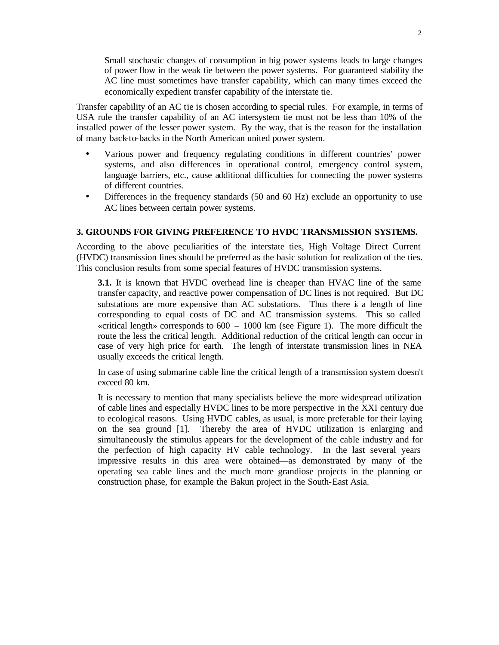Small stochastic changes of consumption in big power systems leads to large changes of power flow in the weak tie between the power systems. For guaranteed stability the AC line must sometimes have transfer capability, which can many times exceed the economically expedient transfer capability of the interstate tie.

Transfer capability of an AC tie is chosen according to special rules. For example, in terms of USA rule the transfer capability of an AC intersystem tie must not be less than 10% of the installed power of the lesser power system. By the way, that is the reason for the installation of many back-to-backs in the North American united power system.

- Various power and frequency regulating conditions in different countries' power systems, and also differences in operational control, emergency control system, language barriers, etc., cause additional difficulties for connecting the power systems of different countries.
- Differences in the frequency standards (50 and 60 Hz) exclude an opportunity to use AC lines between certain power systems.

#### **3. GROUNDS FOR GIVING PREFERENCE TO HVDC TRANSMISSION SYSTEMS.**

According to the above peculiarities of the interstate ties, High Voltage Direct Current (HVDC) transmission lines should be preferred as the basic solution for realization of the ties. This conclusion results from some special features of HVDC transmission systems.

**3.1.** It is known that HVDC overhead line is cheaper than HVAC line of the same transfer capacity, and reactive power compensation of DC lines is not required. But DC substations are more expensive than AC substations. Thus there is a length of line corresponding to equal costs of DC and AC transmission systems. This so called «critical length» corresponds to  $600 - 1000$  km (see Figure 1). The more difficult the route the less the critical length. Additional reduction of the critical length can occur in case of very high price for earth. The length of interstate transmission lines in NEA usually exceeds the critical length.

In case of using submarine cable line the critical length of a transmission system doesn't exceed 80 km.

It is necessary to mention that many specialists believe the more widespread utilization of cable lines and especially HVDC lines to be more perspective in the XXI century due to ecological reasons. Using HVDC cables, as usual, is more preferable for their laying on the sea ground [1]. Thereby the area of HVDC utilization is enlarging and simultaneously the stimulus appears for the development of the cable industry and for the perfection of high capacity HV cable technology. In the last several years impressive results in this area were obtained—as demonstrated by many of the operating sea cable lines and the much more grandiose projects in the planning or construction phase, for example the Bakun project in the South-East Asia.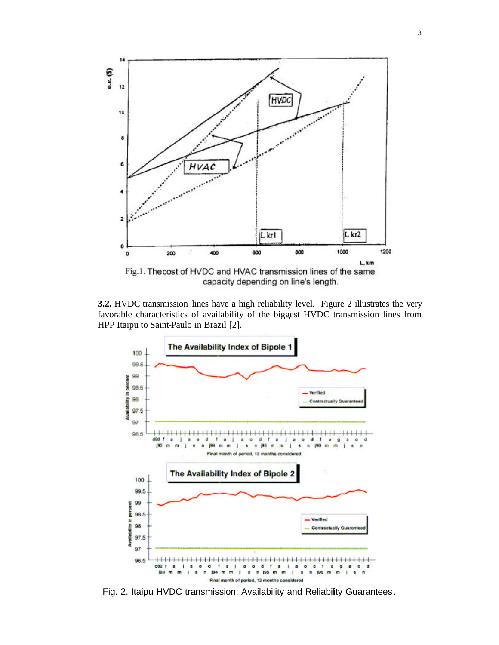

**3.2.** HVDC transmission lines have a high reliability level. Figure 2 illustrates the very favorable characteristics of availability of the biggest HVDC transmission lines from HPP Itaipu to Saint-Paulo in Brazil [2].



Fig. 2. Itaipu HVDC transmission: Availability and Reliabilty Guarantees.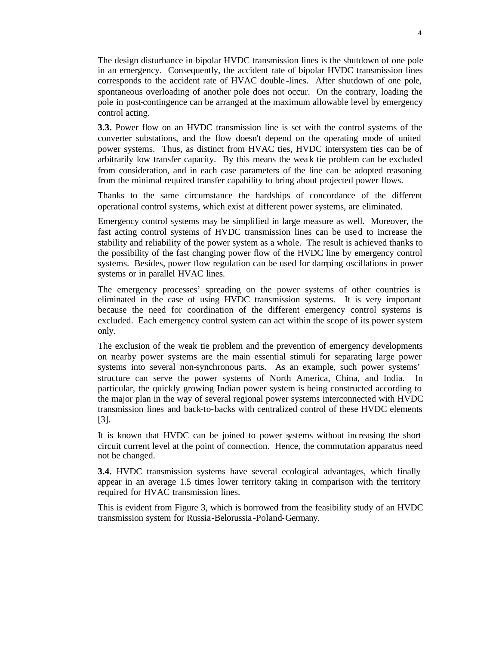The design disturbance in bipolar HVDC transmission lines is the shutdown of one pole in an emergency. Consequently, the accident rate of bipolar HVDC transmission lines corresponds to the accident rate of HVAC double -lines. After shutdown of one pole, spontaneous overloading of another pole does not occur. On the contrary, loading the pole in post-contingence can be arranged at the maximum allowable level by emergency control acting.

**3.3.** Power flow on an HVDC transmission line is set with the control systems of the converter substations, and the flow doesn't depend on the operating mode of united power systems. Thus, as distinct from HVAC ties, HVDC intersystem ties can be of arbitrarily low transfer capacity. By this means the weak tie problem can be excluded from consideration, and in each case parameters of the line can be adopted reasoning from the minimal required transfer capability to bring about projected power flows.

Thanks to the same circumstance the hardships of concordance of the different operational control systems, which exist at different power systems, are eliminated.

Emergency control systems may be simplified in large measure as well. Moreover, the fast acting control systems of HVDC transmission lines can be use d to increase the stability and reliability of the power system as a whole. The result is achieved thanks to the possibility of the fast changing power flow of the HVDC line by emergency control systems. Besides, power flow regulation can be used for damping oscillations in power systems or in parallel HVAC lines.

The emergency processes' spreading on the power systems of other countries is eliminated in the case of using HVDC transmission systems. It is very important because the need for coordination of the different emergency control systems is excluded. Each emergency control system can act within the scope of its power system only.

The exclusion of the weak tie problem and the prevention of emergency developments on nearby power systems are the main essential stimuli for separating large power systems into several non-synchronous parts. As an example, such power systems' structure can serve the power systems of North America, China, and India. In particular, the quickly growing Indian power system is being constructed according to the major plan in the way of several regional power systems interconnected with HVDC transmission lines and back-to-backs with centralized control of these HVDC elements [3].

It is known that HVDC can be joined to power systems without increasing the short circuit current level at the point of connection. Hence, the commutation apparatus need not be changed.

**3.4.** HVDC transmission systems have several ecological advantages, which finally appear in an average 1.5 times lower territory taking in comparison with the territory required for HVAC transmission lines.

This is evident from Figure 3, which is borrowed from the feasibility study of an HVDC transmission system for Russia-Belorussia -Poland-Germany.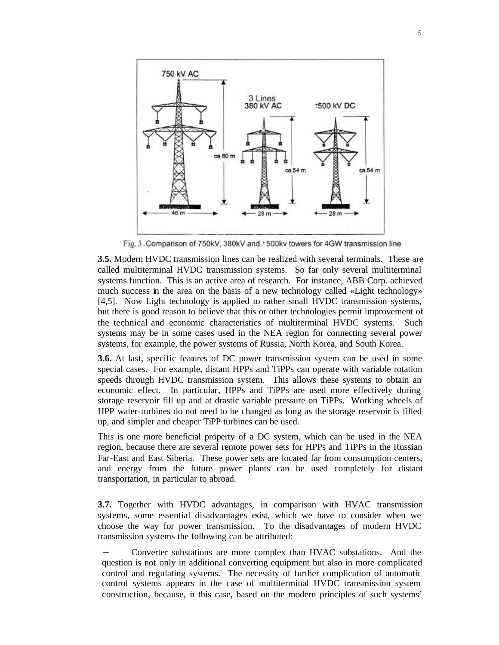

Fig. 3. Comparison of 750kV, 380kV and +500kv towers for 4GW transmission line

**3.5.** Modern HVDC transmission lines can be realized with several terminals. These are called multiterminal HVDC transmission systems. So far only several multiterminal systems function. This is an active area of research. For instance, ABB Corp. achieved much success in the area on the basis of a new technology called «Light technology» [4,5]. Now Light technology is applied to rather small HVDC transmission systems, but there is good reason to believe that this or other technologies permit improvement of the technical and economic characteristics of multiterminal HVDC systems. Such systems may be in some cases used in the NEA region for connecting several power systems, for example, the power systems of Russia, North Korea, and South Korea.

**3.6.** At last, specific features of DC power transmission system can be used in some special cases. For example, distant HPPs and TiPPs can operate with variable rotation speeds through HVDC transmission system. This allows these systems to obtain an economic effect. In particular, HPPs and TiPPs are used more effectively during storage reservoir fill up and at drastic variable pressure on TiPPs. Working wheels of HPP water-turbines do not need to be changed as long as the storage reservoir is filled up, and simpler and cheaper TiPP turbines can be used.

This is one more beneficial property of a DC system, which can be used in the NEA region, because there are several remote power sets for HPPs and TiPPs in the Russian Far-East and East Siberia. These power sets are located far from consumption centers, and energy from the future power plants can be used completely for distant transportation, in particular to abroad.

**3.7.** Together with HVDC advantages, in comparison with HVAC transmission systems, some essential disadvantages exist, which we have to consider when we choose the way for power transmission. To the disadvantages of modern HVDC transmission systems the following can be attributed:

− Converter substations are more complex than HVAC substations. And the question is not only in additional converting equipment but also in more complicated control and regulating systems. The necessity of further complication of automatic control systems appears in the case of multiterminal HVDC transmission system construction, because, in this case, based on the modern principles of such systems'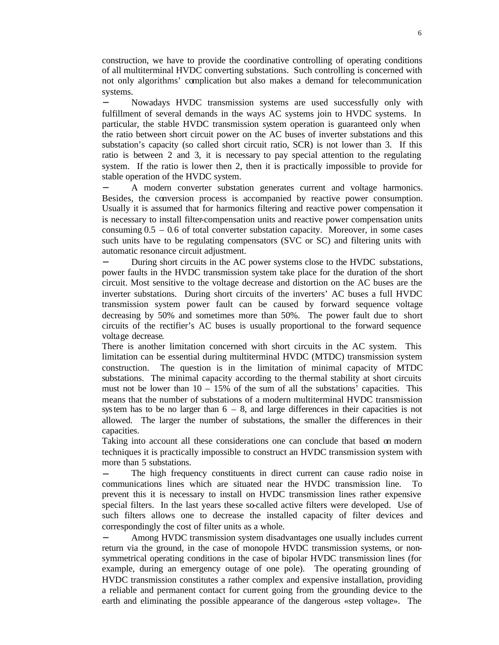construction, we have to provide the coordinative controlling of operating conditions of all multiterminal HVDC converting substations. Such controlling is concerned with not only algorithms' complication but also makes a demand for telecommunication systems.

Nowadays HVDC transmission systems are used successfully only with fulfillment of several demands in the ways AC systems join to HVDC systems. In particular, the stable HVDC transmission system operation is guaranteed only when the ratio between short circuit power on the AC buses of inverter substations and this substation's capacity (so called short circuit ratio, SCR) is not lower than 3. If this ratio is between 2 and 3, it is necessary to pay special attention to the regulating system. If the ratio is lower then 2, then it is practically impossible to provide for stable operation of the HVDC system.

A modern converter substation generates current and voltage harmonics. Besides, the conversion process is accompanied by reactive power consumption. Usually it is assumed that for harmonics filtering and reactive power compensation it is necessary to install filter-compensation units and reactive power compensation units consuming  $0.5 - 0.6$  of total converter substation capacity. Moreover, in some cases such units have to be regulating compensators (SVC or SC) and filtering units with automatic resonance circuit adjustment.

During short circuits in the AC power systems close to the HVDC substations, power faults in the HVDC transmission system take place for the duration of the short circuit. Most sensitive to the voltage decrease and distortion on the AC buses are the inverter substations. During short circuits of the inverters' AC buses a full HVDC transmission system power fault can be caused by forward sequence voltage decreasing by 50% and sometimes more than 50%. The power fault due to short circuits of the rectifier's AC buses is usually proportional to the forward sequence voltage decrease.

There is another limitation concerned with short circuits in the AC system. This limitation can be essential during multiterminal HVDC (MTDC) transmission system construction. The question is in the limitation of minimal capacity of MTDC substations. The minimal capacity according to the thermal stability at short circuits must not be lower than  $10 - 15\%$  of the sum of all the substations' capacities. This means that the number of substations of a modern multiterminal HVDC transmission system has to be no larger than  $6 - 8$ , and large differences in their capacities is not allowed. The larger the number of substations, the smaller the differences in their capacities.

Taking into account all these considerations one can conclude that based on modern techniques it is practically impossible to construct an HVDC transmission system with more than 5 substations.

The high frequency constituents in direct current can cause radio noise in communications lines which are situated near the HVDC transmission line. To prevent this it is necessary to install on HVDC transmission lines rather expensive special filters. In the last years these so-called active filters were developed. Use of such filters allows one to decrease the installed capacity of filter devices and correspondingly the cost of filter units as a whole.

− Among HVDC transmission system disadvantages one usually includes current return via the ground, in the case of monopole HVDC transmission systems, or nonsymmetrical operating conditions in the case of bipolar HVDC transmission lines (for example, during an emergency outage of one pole). The operating grounding of HVDC transmission constitutes a rather complex and expensive installation, providing a reliable and permanent contact for current going from the grounding device to the earth and eliminating the possible appearance of the dangerous «step voltage». The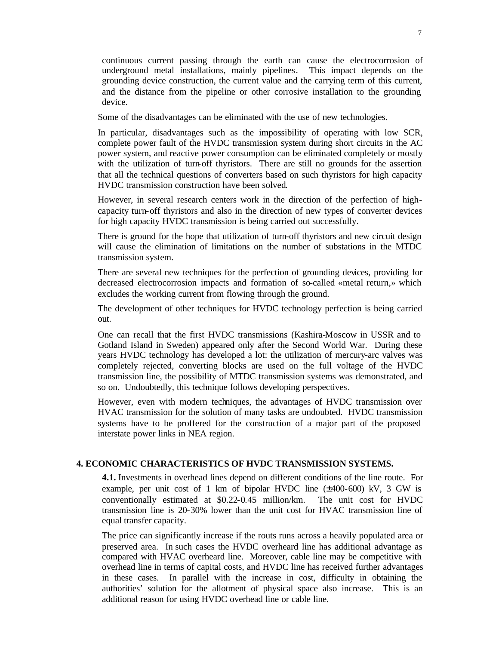continuous current passing through the earth can cause the electrocorrosion of underground metal installations, mainly pipelines. This impact depends on the grounding device construction, the current value and the carrying term of this current, and the distance from the pipeline or other corrosive installation to the grounding device.

Some of the disadvantages can be eliminated with the use of new technologies.

In particular, disadvantages such as the impossibility of operating with low SCR, complete power fault of the HVDC transmission system during short circuits in the AC power system, and reactive power consumption can be eliminated completely or mostly with the utilization of turn-off thyristors. There are still no grounds for the assertion that all the technical questions of converters based on such thyristors for high capacity HVDC transmission construction have been solved.

However, in several research centers work in the direction of the perfection of highcapacity turn-off thyristors and also in the direction of new types of converter devices for high capacity HVDC transmission is being carried out successfully.

There is ground for the hope that utilization of turn-off thyristors and new circuit design will cause the elimination of limitations on the number of substations in the MTDC transmission system.

There are several new techniques for the perfection of grounding devices, providing for decreased electrocorrosion impacts and formation of so-called «metal return,» which excludes the working current from flowing through the ground.

The development of other techniques for HVDC technology perfection is being carried out.

One can recall that the first HVDC transmissions (Kashira-Moscow in USSR and to Gotland Island in Sweden) appeared only after the Second World War. During these years HVDC technology has developed a lot: the utilization of mercury-arc valves was completely rejected, converting blocks are used on the full voltage of the HVDC transmission line, the possibility of MTDC transmission systems was demonstrated, and so on. Undoubtedly, this technique follows developing perspectives.

However, even with modern techniques, the advantages of HVDC transmission over HVAC transmission for the solution of many tasks are undoubted. HVDC transmission systems have to be proffered for the construction of a major part of the proposed interstate power links in NEA region.

#### **4. ECONOMIC CHARACTERISTICS OF HVDC TRANSMISSION SYSTEMS.**

**4.1.** Investments in overhead lines depend on different conditions of the line route. For example, per unit cost of 1 km of bipolar HVDC line  $(\pm 400-600)$  kV, 3 GW is conventionally estimated at \$0.22-0.45 million/km. The unit cost for HVDC transmission line is 20-30% lower than the unit cost for HVAC transmission line of equal transfer capacity.

The price can significantly increase if the routs runs across a heavily populated area or preserved area. In such cases the HVDC overheard line has additional advantage as compared with HVAC overheard line. Moreover, cable line may be competitive with overhead line in terms of capital costs, and HVDC line has received further advantages in these cases. In parallel with the increase in cost, difficulty in obtaining the authorities' solution for the allotment of physical space also increase. This is an additional reason for using HVDC overhead line or cable line.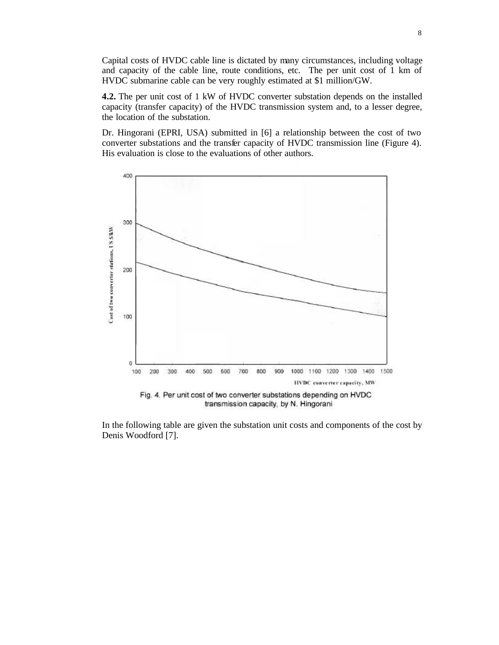Capital costs of HVDC cable line is dictated by many circumstances, including voltage and capacity of the cable line, route conditions, etc. The per unit cost of 1 km of HVDC submarine cable can be very roughly estimated at \$1 million/GW.

**4.2.** The per unit cost of 1 kW of HVDC converter substation depends on the installed capacity (transfer capacity) of the HVDC transmission system and, to a lesser degree, the location of the substation.

Dr. Hingorani (EPRI, USA) submitted in [6] a relationship between the cost of two converter substations and the transfer capacity of HVDC transmission line (Figure 4). His evaluation is close to the evaluations of other authors.



transmission capacity, by N. Hingorani

In the following table are given the substation unit costs and components of the cost by Denis Woodford [7].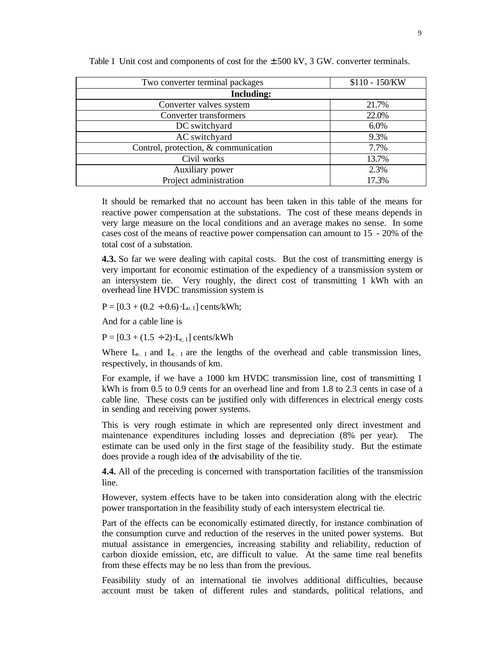| Two converter terminal packages      | \$110 - 150/KW |
|--------------------------------------|----------------|
| <b>Including:</b>                    |                |
| Converter valves system              | 21.7%          |
| Converter transformers               | 22.0%          |
| DC switchyard                        | 6.0%           |
| AC switchyard                        | 9.3%           |
| Control, protection, & communication | 7.7%           |
| Civil works                          | 13.7%          |
| Auxiliary power                      | 2.3%           |
| Project administration               | 17.3%          |

Table 1 Unit cost and components of cost for the  $\pm$  500 kV, 3 GW. converter terminals.

It should be remarked that no account has been taken in this table of the means for reactive power compensation at the substations. The cost of these means depends in very large measure on the local conditions and an average makes no sense. In some cases cost of the means of reactive power compensation can amount to 15 - 20% of the total cost of a substation.

**4.3.** So far we were dealing with capital costs. But the cost of transmitting energy is very important for economic estimation of the expediency of a transmission system or an intersystem tie. Very roughly, the direct cost of transmitting 1 kWh with an overhead line HVDC transmission system is

 $P = [0.3 + (0.2 + 0.6) \cdot L_{o.1}]$  cents/kWh;

And for a cable line is

 $P = [0.3 + (1.5 \div 2) \cdot L_{c} ]$  cents/kWh

Where  $L_{0.1}$  and  $L_{c.1}$  are the lengths of the overhead and cable transmission lines, respectively, in thousands of km.

For example, if we have a 1000 km HVDC transmission line, cost of transmitting 1 kWh is from 0.5 to 0.9 cents for an overhead line and from 1.8 to 2.3 cents in case of a cable line. These costs can be justified only with differences in electrical energy costs in sending and receiving power systems.

This is very rough estimate in which are represented only direct investment and maintenance expenditures including losses and depreciation (8% per year). The estimate can be used only in the first stage of the feasibility study. But the estimate does provide a rough idea of the advisability of the tie.

**4.4.** All of the preceding is concerned with transportation facilities of the transmission line.

However, system effects have to be taken into consideration along with the electric power transportation in the feasibility study of each intersystem electrical tie.

Part of the effects can be economically estimated directly, for instance combination of the consumption curve and reduction of the reserves in the united power systems. But mutual assistance in emergencies, increasing stability and reliability, reduction of carbon dioxide emission, etc, are difficult to value. At the same time real benefits from these effects may be no less than from the previous.

Feasibility study of an international tie involves additional difficulties, because account must be taken of different rules and standards, political relations, and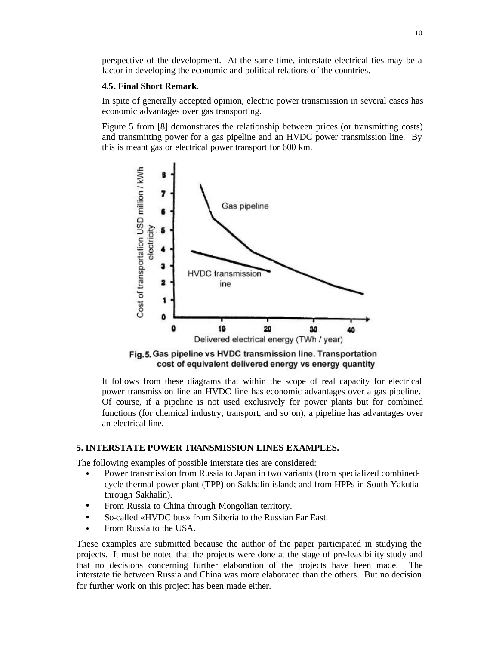perspective of the development. At the same time, interstate electrical ties may be a factor in developing the economic and political relations of the countries.

#### **4.5. Final Short Remark.**

In spite of generally accepted opinion, electric power transmission in several cases has economic advantages over gas transporting.

Figure 5 from [8] demonstrates the relationship between prices (or transmitting costs) and transmitting power for a gas pipeline and an HVDC power transmission line. By this is meant gas or electrical power transport for 600 km.



Fig.5. Gas pipeline vs HVDC transmission line. Transportation cost of equivalent delivered energy vs energy quantity

It follows from these diagrams that within the scope of real capacity for electrical power transmission line an HVDC line has economic advantages over a gas pipeline. Of course, if a pipeline is not used exclusively for power plants but for combined functions (for chemical industry, transport, and so on), a pipeline has advantages over an electrical line.

#### **5. INTERSTATE POWER TRANSMISSION LINES EXAMPLES.**

The following examples of possible interstate ties are considered:

- Power transmission from Russia to Japan in two variants (from specialized combinedcycle thermal power plant (TPP) on Sakhalin island; and from HPPs in South Yakutia through Sakhalin).
- From Russia to China through Mongolian territory.
- So-called «HVDC bus» from Siberia to the Russian Far East.
- From Russia to the USA.

These examples are submitted because the author of the paper participated in studying the projects. It must be noted that the projects were done at the stage of pre-feasibility study and that no decisions concerning further elaboration of the projects have been made. The interstate tie between Russia and China was more elaborated than the others. But no decision for further work on this project has been made either.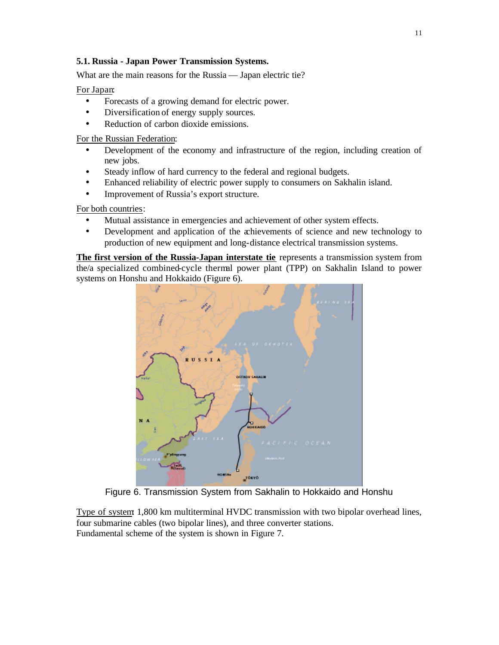# **5.1. Russia - Japan Power Transmission Systems.**

What are the main reasons for the Russia — Japan electric tie?

### For Japan:

- Forecasts of a growing demand for electric power.
- Diversification of energy supply sources.
- Reduction of carbon dioxide emissions.

### For the Russian Federation:

- Development of the economy and infrastructure of the region, including creation of new jobs.
- Steady inflow of hard currency to the federal and regional budgets.
- Enhanced reliability of electric power supply to consumers on Sakhalin island.
- Improvement of Russia's export structure.

# For both countries:

- Mutual assistance in emergencies and achievement of other system effects.
- Development and application of the achievements of science and new technology to production of new equipment and long-distance electrical transmission systems.

**The first version of the Russia-Japan interstate tie** represents a transmission system from the/a specialized combined-cycle thermal power plant (TPP) on Sakhalin Island to power systems on Honshu and Hokkaido (Figure 6).



Figure 6. Transmission System from Sakhalin to Hokkaido and Honshu

Type of system 1,800 km multiterminal HVDC transmission with two bipolar overhead lines, four submarine cables (two bipolar lines), and three converter stations. Fundamental scheme of the system is shown in Figure 7.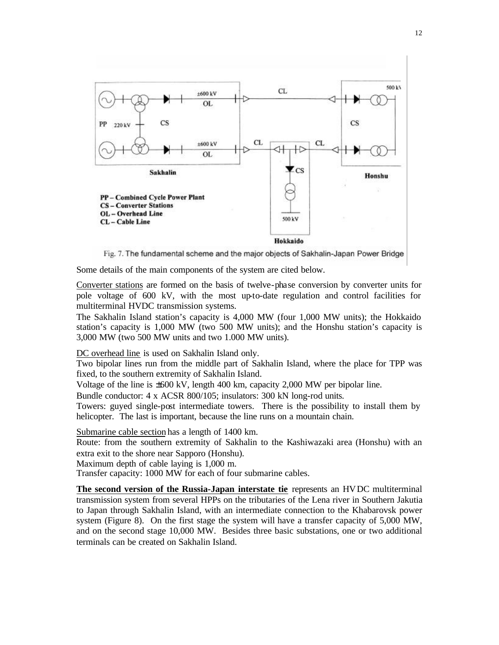

Fig. 7. The fundamental scheme and the major objects of Sakhalin-Japan Power Bridge

Some details of the main components of the system are cited below.

Converter stations are formed on the basis of twelve-phase conversion by converter units for pole voltage of 600 kV, with the most up-to-date regulation and control facilities for multiterminal HVDC transmission systems.

The Sakhalin Island station's capacity is 4,000 MW (four 1,000 MW units); the Hokkaido station's capacity is 1,000 MW (two 500 MW units); and the Honshu station's capacity is 3,000 MW (two 500 MW units and two 1.000 MW units).

DC overhead line is used on Sakhalin Island only.

Two bipolar lines run from the middle part of Sakhalin Island, where the place for TPP was fixed, to the southern extremity of Sakhalin Island.

Voltage of the line is ±600 kV, length 400 km, capacity 2,000 MW per bipolar line.

Bundle conductor: 4 x ACSR 800/105; insulators: 300 kN long-rod units.

Towers: guyed single-post intermediate towers. There is the possibility to install them by helicopter. The last is important, because the line runs on a mountain chain.

Submarine cable section has a length of 1400 km.

Route: from the southern extremity of Sakhalin to the Kashiwazaki area (Honshu) with an extra exit to the shore near Sapporo (Honshu).

Maximum depth of cable laying is 1,000 m.

Transfer capacity: 1000 MW for each of four submarine cables.

**The second version of the Russia-Japan interstate tie** represents an HVDC multiterminal transmission system from several HPPs on the tributaries of the Lena river in Southern Jakutia to Japan through Sakhalin Island, with an intermediate connection to the Khabarovsk power system (Figure 8). On the first stage the system will have a transfer capacity of 5,000 MW, and on the second stage 10,000 MW. Besides three basic substations, one or two additional terminals can be created on Sakhalin Island.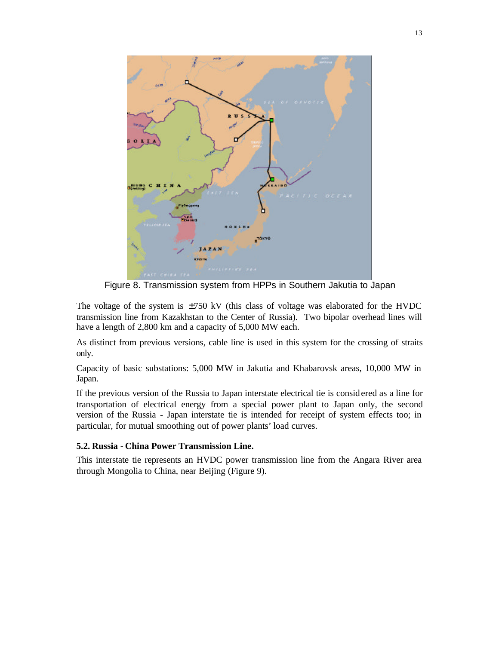

Figure 8. Transmission system from HPPs in Southern Jakutia to Japan

The voltage of the system is  $\pm 750$  kV (this class of voltage was elaborated for the HVDC transmission line from Kazakhstan to the Center of Russia). Two bipolar overhead lines will have a length of 2,800 km and a capacity of 5,000 MW each.

As distinct from previous versions, cable line is used in this system for the crossing of straits only.

Capacity of basic substations: 5,000 MW in Jakutia and Khabarovsk areas, 10,000 MW in Japan.

If the previous version of the Russia to Japan interstate electrical tie is consid ered as a line for transportation of electrical energy from a special power plant to Japan only, the second version of the Russia - Japan interstate tie is intended for receipt of system effects too; in particular, for mutual smoothing out of power plants' load curves.

#### **5.2. Russia - China Power Transmission Line.**

This interstate tie represents an HVDC power transmission line from the Angara River area through Mongolia to China, near Beijing (Figure 9).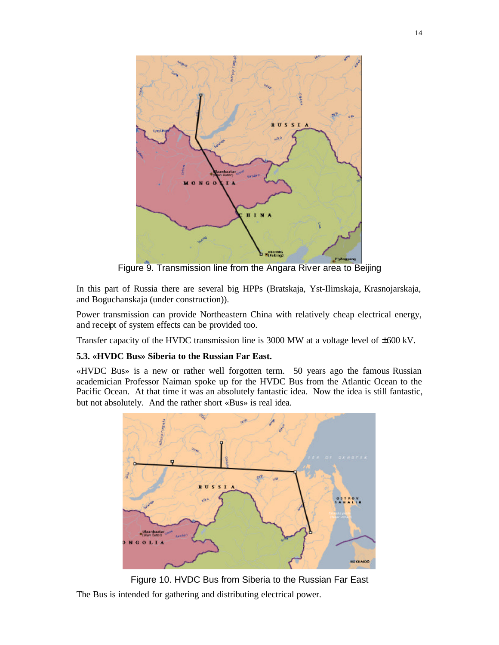

Figure 9. Transmission line from the Angara River area to Beijing

In this part of Russia there are several big HPPs (Bratskaja, Yst-Ilimskaja, Krasnojarskaja, and Boguchanskaja (under construction)).

Power transmission can provide Northeastern China with relatively cheap electrical energy, and receipt of system effects can be provided too.

Transfer capacity of the HVDC transmission line is 3000 MW at a voltage level of ±600 kV.

#### **5.3. «HVDC Bus» Siberia to the Russian Far East.**

«HVDC Bus» is a new or rather well forgotten term. 50 years ago the famous Russian academician Professor Naiman spoke up for the HVDC Bus from the Atlantic Ocean to the Pacific Ocean. At that time it was an absolutely fantastic idea. Now the idea is still fantastic, but not absolutely. And the rather short «Bus» is real idea.



Figure 10. HVDC Bus from Siberia to the Russian Far East The Bus is intended for gathering and distributing electrical power.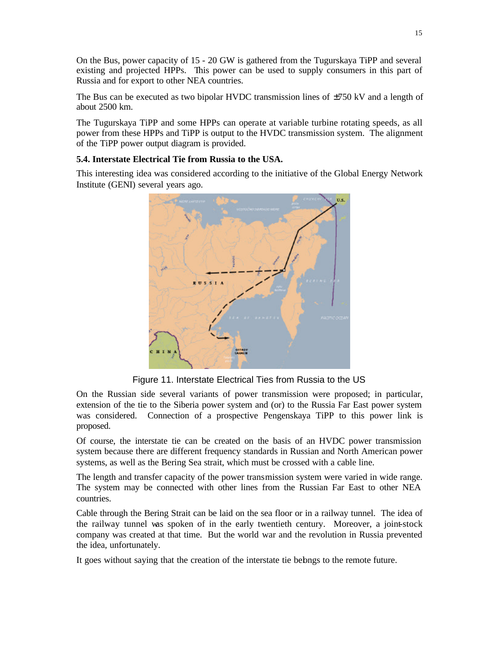On the Bus, power capacity of 15 - 20 GW is gathered from the Tugurskaya TiPP and several existing and projected HPPs. This power can be used to supply consumers in this part of Russia and for export to other NEA countries.

The Bus can be executed as two bipolar HVDC transmission lines of  $\pm$ 750 kV and a length of about 2500 km.

The Tugurskaya TiPP and some HPPs can operate at variable turbine rotating speeds, as all power from these HPPs and TiPP is output to the HVDC transmission system. The alignment of the TiPP power output diagram is provided.

# **5.4. Interstate Electrical Tie from Russia to the USA.**

This interesting idea was considered according to the initiative of the Global Energy Network Institute (GENI) several years ago.



Figure 11. Interstate Electrical Ties from Russia to the US

On the Russian side several variants of power transmission were proposed; in particular, extension of the tie to the Siberia power system and (or) to the Russia Far East power system was considered. Connection of a prospective Pengenskaya TiPP to this power link is proposed.

Of course, the interstate tie can be created on the basis of an HVDC power transmission system because there are different frequency standards in Russian and North American power systems, as well as the Bering Sea strait, which must be crossed with a cable line.

The length and transfer capacity of the power transmission system were varied in wide range. The system may be connected with other lines from the Russian Far East to other NEA countries.

Cable through the Bering Strait can be laid on the sea floor or in a railway tunnel. The idea of the railway tunnel was spoken of in the early twentieth century. Moreover, a joint-stock company was created at that time. But the world war and the revolution in Russia prevented the idea, unfortunately.

It goes without saying that the creation of the interstate tie belongs to the remote future.